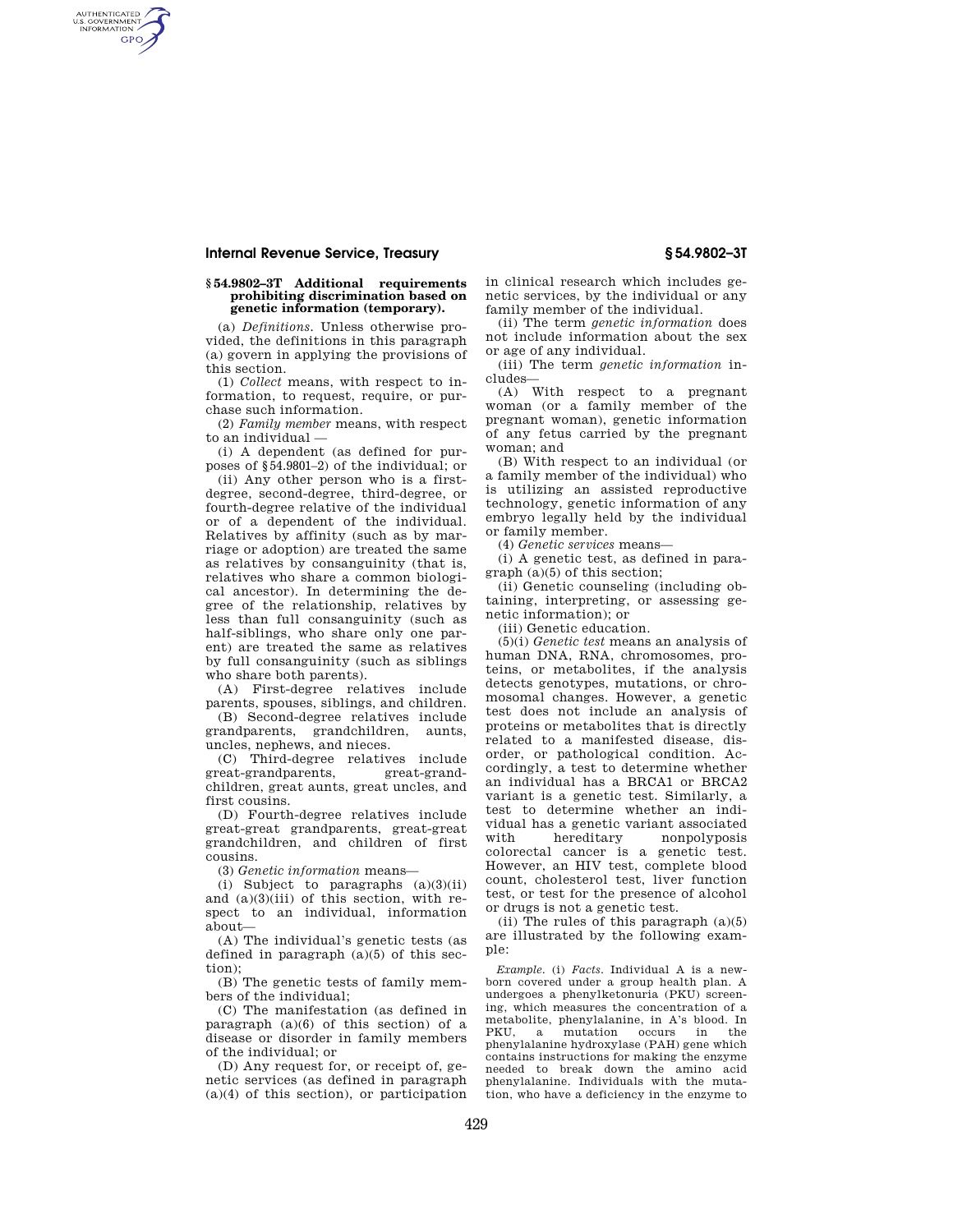AUTHENTICATED<br>U.S. GOVERNMENT<br>INFORMATION **GPO** 

### **§ 54.9802–3T Additional requirements prohibiting discrimination based on genetic information (temporary).**

(a) *Definitions.* Unless otherwise provided, the definitions in this paragraph (a) govern in applying the provisions of this section.

(1) *Collect* means, with respect to information, to request, require, or purchase such information.

(2) *Family member* means, with respect to an individual —

(i) A dependent (as defined for purposes of §54.9801–2) of the individual; or

(ii) Any other person who is a firstdegree, second-degree, third-degree, or fourth-degree relative of the individual or of a dependent of the individual. Relatives by affinity (such as by marriage or adoption) are treated the same as relatives by consanguinity (that is, relatives who share a common biological ancestor). In determining the degree of the relationship, relatives by less than full consanguinity (such as half-siblings, who share only one parent) are treated the same as relatives by full consanguinity (such as siblings who share both parents).

(A) First-degree relatives include parents, spouses, siblings, and children.

(B) Second-degree relatives include grandparents, grandchildren, aunts, uncles, nephews, and nieces.

(C) Third-degree relatives include great-grandparents, great-grandchildren, great aunts, great uncles, and first cousins.

(D) Fourth-degree relatives include great-great grandparents, great-great grandchildren, and children of first cousins.

(3) *Genetic information* means—

(i) Subject to paragraphs  $(a)(3)(ii)$ and (a)(3)(iii) of this section, with respect to an individual, information about—

(A) The individual's genetic tests (as defined in paragraph (a)(5) of this section);

(B) The genetic tests of family members of the individual;

(C) The manifestation (as defined in paragraph (a)(6) of this section) of a disease or disorder in family members of the individual; or

(D) Any request for, or receipt of, genetic services (as defined in paragraph (a)(4) of this section), or participation in clinical research which includes genetic services, by the individual or any family member of the individual.

(ii) The term *genetic information* does not include information about the sex or age of any individual.

(iii) The term *genetic information* includes—

(A) With respect to a pregnant woman (or a family member of the pregnant woman), genetic information of any fetus carried by the pregnant woman; and

(B) With respect to an individual (or a family member of the individual) who is utilizing an assisted reproductive technology, genetic information of any embryo legally held by the individual or family member.

(4) *Genetic services* means—

(i) A genetic test, as defined in paragraph (a)(5) of this section;

(ii) Genetic counseling (including obtaining, interpreting, or assessing genetic information); or

(iii) Genetic education.

(5)(i) *Genetic test* means an analysis of human DNA, RNA, chromosomes, proteins, or metabolites, if the analysis detects genotypes, mutations, or chromosomal changes. However, a genetic test does not include an analysis of proteins or metabolites that is directly related to a manifested disease, disorder, or pathological condition. Accordingly, a test to determine whether an individual has a BRCA1 or BRCA2 variant is a genetic test. Similarly, a test to determine whether an individual has a genetic variant associated with hereditary nonpolyposis colorectal cancer is a genetic test. However, an HIV test, complete blood count, cholesterol test, liver function test, or test for the presence of alcohol or drugs is not a genetic test.

(ii) The rules of this paragraph (a)(5) are illustrated by the following example:

*Example.* (i) *Facts.* Individual A is a newborn covered under a group health plan. A undergoes a phenylketonuria (PKU) screening, which measures the concentration of a metabolite, phenylalanine, in A's blood. In PKU, a mutation occurs in the phenylalanine hydroxylase (PAH) gene which contains instructions for making the enzyme needed to break down the amino acid phenylalanine. Individuals with the mutation, who have a deficiency in the enzyme to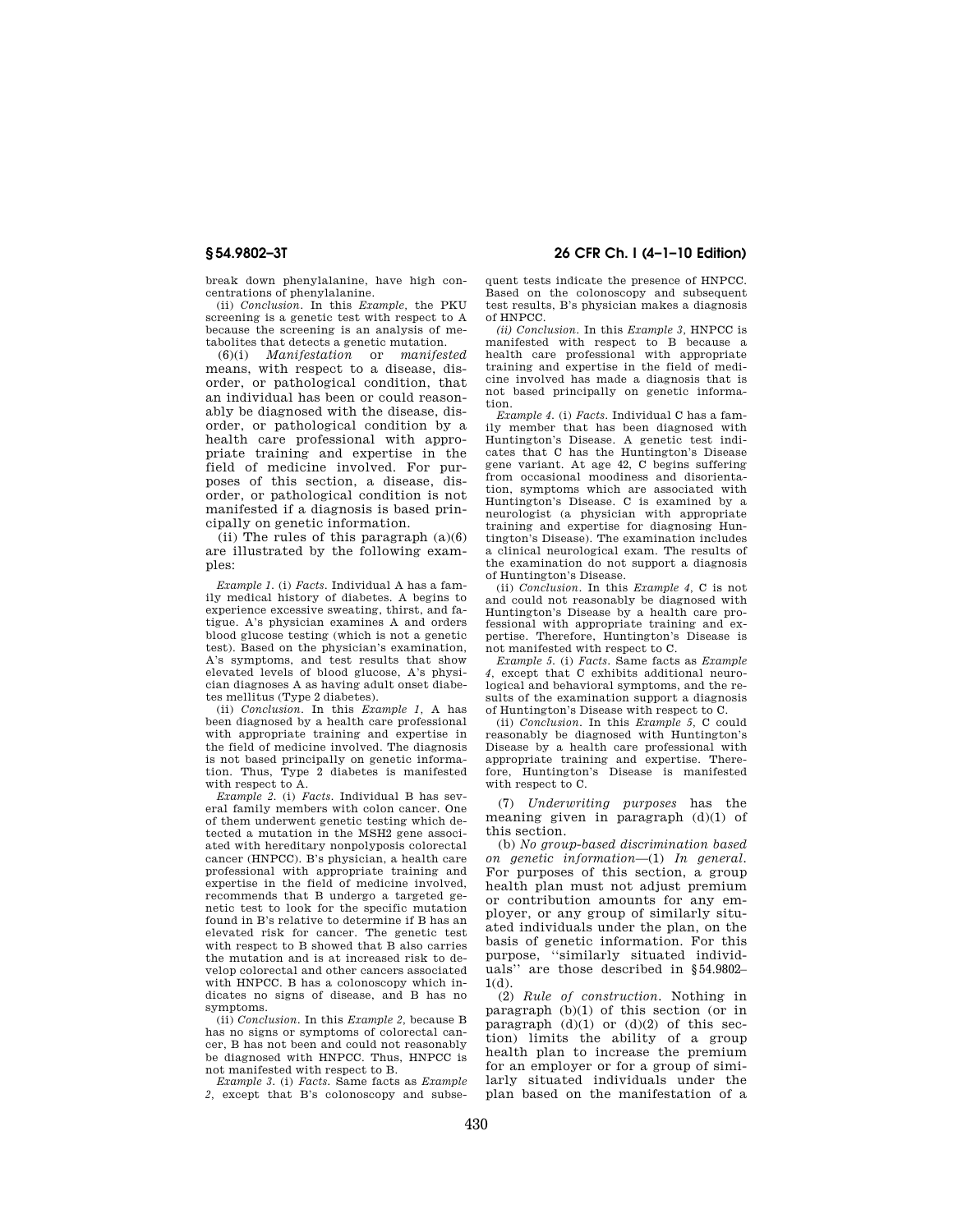break down phenylalanine, have high concentrations of phenylalanine.

(ii) *Conclusion.* In this *Example,* the PKU screening is a genetic test with respect to A because the screening is an analysis of metabolites that detects a genetic mutation.

(6)(i) *Manifestation* or *manifested*  means, with respect to a disease, disorder, or pathological condition, that an individual has been or could reasonably be diagnosed with the disease, disorder, or pathological condition by a health care professional with appropriate training and expertise in the field of medicine involved. For purposes of this section, a disease, disorder, or pathological condition is not manifested if a diagnosis is based principally on genetic information.

(ii) The rules of this paragraph  $(a)(6)$ are illustrated by the following examples:

*Example 1.* (i) *Facts.* Individual A has a family medical history of diabetes. A begins to experience excessive sweating, thirst, and fatigue. A's physician examines A and orders blood glucose testing (which is not a genetic test). Based on the physician's examination, A's symptoms, and test results that show elevated levels of blood glucose, A's physician diagnoses A as having adult onset diabetes mellitus (Type 2 diabetes).

(ii) *Conclusion.* In this *Example 1,* A has been diagnosed by a health care professional with appropriate training and expertise in the field of medicine involved. The diagnosis is not based principally on genetic information. Thus, Type 2 diabetes is manifested with respect to A.

*Example 2.* (i) *Facts.* Individual B has several family members with colon cancer. One of them underwent genetic testing which detected a mutation in the MSH2 gene associated with hereditary nonpolyposis colorectal cancer (HNPCC). B's physician, a health care professional with appropriate training and expertise in the field of medicine involved, recommends that B undergo a targeted genetic test to look for the specific mutation found in B's relative to determine if B has an elevated risk for cancer. The genetic test with respect to B showed that B also carries the mutation and is at increased risk to develop colorectal and other cancers associated with HNPCC. B has a colonoscopy which indicates no signs of disease, and B has no symptoms.

(ii) *Conclusion.* In this *Example 2,* because B has no signs or symptoms of colorectal cancer, B has not been and could not reasonably be diagnosed with HNPCC. Thus, HNPCC is not manifested with respect to B.

*Example 3.* (i) *Facts.* Same facts as *Example*  2, except that B's colonoscopy and subse-

**§ 54.9802–3T 26 CFR Ch. I (4–1–10 Edition)** 

quent tests indicate the presence of HNPCC. Based on the colonoscopy and subsequent test results, B's physician makes a diagnosis of HNPCC.

*(ii) Conclusion.* In this *Example 3,* HNPCC is manifested with respect to B because a health care professional with appropriate training and expertise in the field of medicine involved has made a diagnosis that is not based principally on genetic information.

*Example 4.* (i) *Facts.* Individual C has a family member that has been diagnosed with Huntington's Disease. A genetic test indicates that C has the Huntington's Disease gene variant. At age 42, C begins suffering from occasional moodiness and disorientation, symptoms which are associated with Huntington's Disease. C is examined by a neurologist (a physician with appropriate training and expertise for diagnosing Huntington's Disease). The examination includes a clinical neurological exam. The results of the examination do not support a diagnosis of Huntington's Disease.

(ii) *Conclusion.* In this *Example 4,* C is not and could not reasonably be diagnosed with Huntington's Disease by a health care professional with appropriate training and expertise. Therefore, Huntington's Disease is not manifested with respect to C.

*Example 5.* (i) *Facts.* Same facts as *Example 4,* except that C exhibits additional neurological and behavioral symptoms, and the results of the examination support a diagnosis of Huntington's Disease with respect to C.

(ii) *Conclusion.* In this *Example 5,* C could reasonably be diagnosed with Huntington's Disease by a health care professional with appropriate training and expertise. Therefore, Huntington's Disease is manifested with respect to C.

(7) *Underwriting purposes* has the meaning given in paragraph  $(d)(1)$  of this section.

(b) *No group-based discrimination based on genetic information*—(1) *In general.*  For purposes of this section, a group health plan must not adjust premium or contribution amounts for any employer, or any group of similarly situated individuals under the plan, on the basis of genetic information. For this purpose, ''similarly situated individuals'' are those described in §54.9802–  $1(d)$ .

(2) *Rule of construction.* Nothing in paragraph (b)(1) of this section (or in paragraph  $(d)(1)$  or  $(d)(2)$  of this section) limits the ability of a group health plan to increase the premium for an employer or for a group of similarly situated individuals under the plan based on the manifestation of a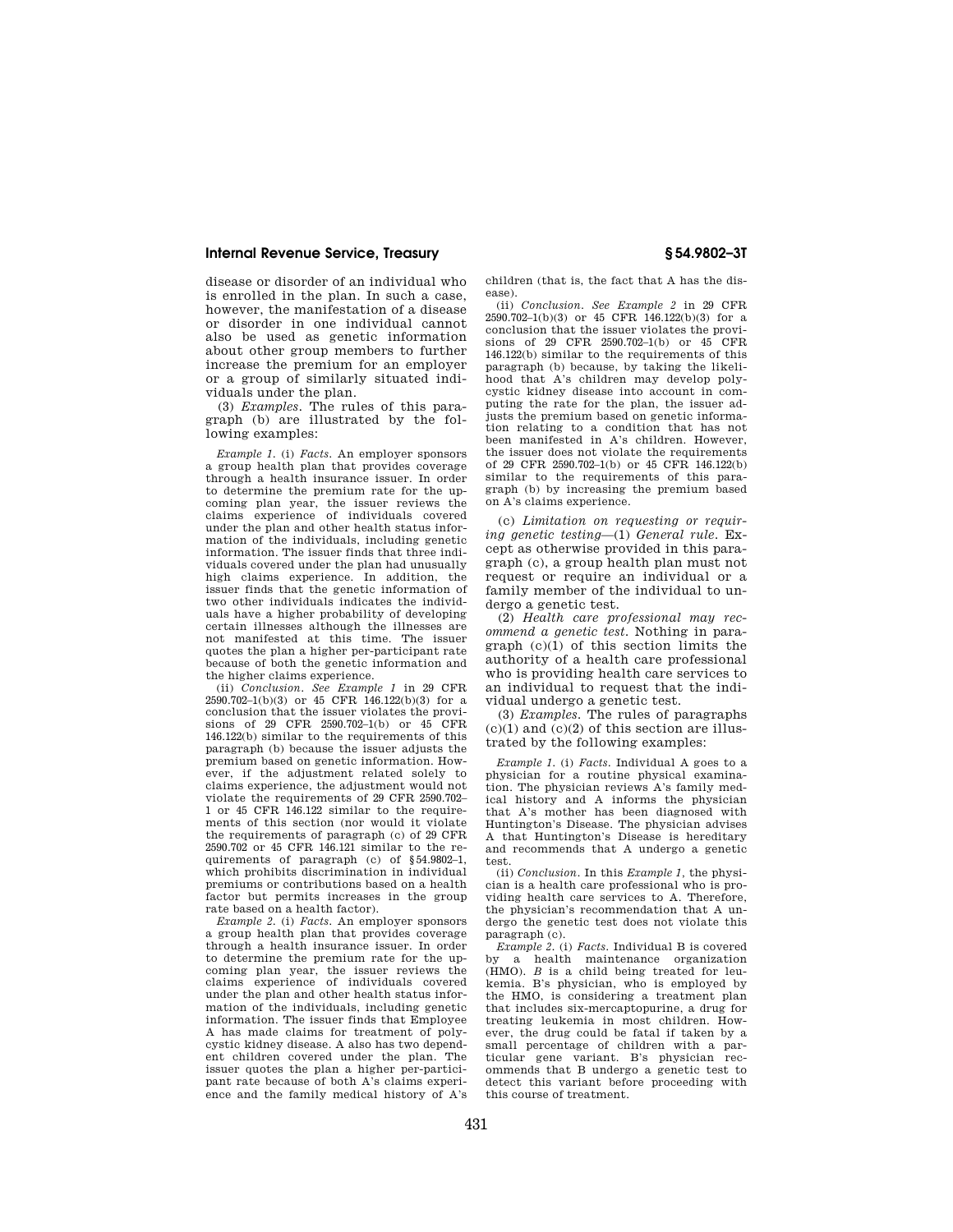disease or disorder of an individual who is enrolled in the plan. In such a case, however, the manifestation of a disease or disorder in one individual cannot also be used as genetic information about other group members to further increase the premium for an employer or a group of similarly situated individuals under the plan.

(3) *Examples.* The rules of this paragraph (b) are illustrated by the following examples:

*Example 1.* (i) *Facts.* An employer sponsors a group health plan that provides coverage through a health insurance issuer. In order to determine the premium rate for the upcoming plan year, the issuer reviews the claims experience of individuals covered under the plan and other health status information of the individuals, including genetic information. The issuer finds that three individuals covered under the plan had unusually high claims experience. In addition, the issuer finds that the genetic information of two other individuals indicates the individuals have a higher probability of developing certain illnesses although the illnesses are not manifested at this time. The issuer quotes the plan a higher per-participant rate because of both the genetic information and the higher claims experience.

(ii) *Conclusion. See Example 1* in 29 CFR 2590.702–1(b)(3) or 45 CFR 146.122(b)(3) for a conclusion that the issuer violates the provisions of 29 CFR 2590.702–1(b) or 45 CFR 146.122(b) similar to the requirements of this paragraph (b) because the issuer adjusts the premium based on genetic information. However, if the adjustment related solely to claims experience, the adjustment would not violate the requirements of 29 CFR 2590.702– 1 or 45 CFR 146.122 similar to the requirements of this section (nor would it violate the requirements of paragraph (c) of 29 CFR 2590.702 or 45 CFR 146.121 similar to the requirements of paragraph (c) of §54.9802–1, which prohibits discrimination in individual premiums or contributions based on a health factor but permits increases in the group rate based on a health factor).

*Example 2.* (i) *Facts.* An employer sponsors a group health plan that provides coverage through a health insurance issuer. In order to determine the premium rate for the upcoming plan year, the issuer reviews the claims experience of individuals covered under the plan and other health status information of the individuals, including genetic information. The issuer finds that Employee A has made claims for treatment of polycystic kidney disease. A also has two dependent children covered under the plan. The issuer quotes the plan a higher per-participant rate because of both A's claims experience and the family medical history of A's

children (that is, the fact that A has the disease).

(ii) *Conclusion. See Example 2* in 29 CFR  $2590.702-1(b)(3)$  or 45 CFR 146.122(b)(3) for a conclusion that the issuer violates the provisions of 29 CFR 2590.702–1(b) or 45 CFR 146.122(b) similar to the requirements of this paragraph (b) because, by taking the likelihood that A's children may develop polycystic kidney disease into account in computing the rate for the plan, the issuer adjusts the premium based on genetic information relating to a condition that has not been manifested in A's children. However, the issuer does not violate the requirements of 29 CFR 2590.702–1(b) or 45 CFR 146.122(b) similar to the requirements of this paragraph (b) by increasing the premium based on A's claims experience.

(c) *Limitation on requesting or requiring genetic testing*—(1) *General rule.* Except as otherwise provided in this paragraph (c), a group health plan must not request or require an individual or a family member of the individual to undergo a genetic test.

(2) *Health care professional may recommend a genetic test.* Nothing in paragraph  $(c)(1)$  of this section limits the authority of a health care professional who is providing health care services to an individual to request that the individual undergo a genetic test.

(3) *Examples.* The rules of paragraphs  $(c)(1)$  and  $(c)(2)$  of this section are illustrated by the following examples:

*Example 1.* (i) *Facts.* Individual A goes to a physician for a routine physical examination. The physician reviews A's family medical history and A informs the physician that A's mother has been diagnosed with Huntington's Disease. The physician advises A that Huntington's Disease is hereditary and recommends that A undergo a genetic test.

(ii) *Conclusion.* In this *Example 1,* the physician is a health care professional who is providing health care services to A. Therefore, the physician's recommendation that A undergo the genetic test does not violate this paragraph (c).

*Example 2.* (i) *Facts.* Individual B is covered by a health maintenance organization (HMO). *B* is a child being treated for leukemia. B's physician, who is employed by the HMO, is considering a treatment plan that includes six-mercaptopurine, a drug for treating leukemia in most children. However, the drug could be fatal if taken by a small percentage of children with a particular gene variant. B's physician recommends that B undergo a genetic test to detect this variant before proceeding with this course of treatment.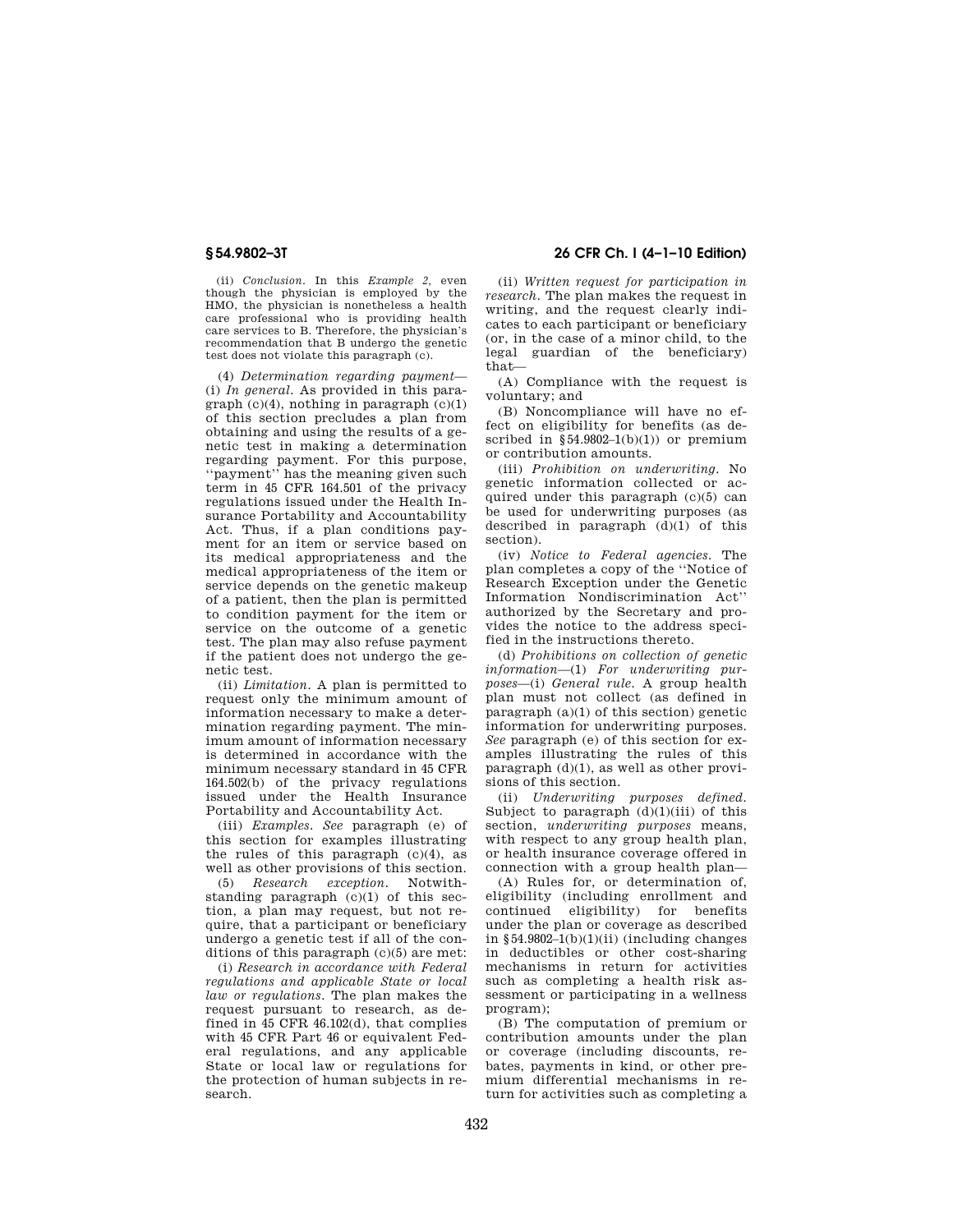(ii) *Conclusion.* In this *Example 2,* even though the physician is employed by the HMO, the physician is nonetheless a health care professional who is providing health care services to B. Therefore, the physician's recommendation that B undergo the genetic test does not violate this paragraph (c).

(4) *Determination regarding payment*— (i) *In general.* As provided in this paragraph (c)(4), nothing in paragraph (c)(1) of this section precludes a plan from obtaining and using the results of a genetic test in making a determination regarding payment. For this purpose, ''payment'' has the meaning given such term in 45 CFR 164.501 of the privacy regulations issued under the Health Insurance Portability and Accountability Act. Thus, if a plan conditions payment for an item or service based on its medical appropriateness and the medical appropriateness of the item or service depends on the genetic makeup of a patient, then the plan is permitted to condition payment for the item or service on the outcome of a genetic test. The plan may also refuse payment if the patient does not undergo the genetic test.

(ii) *Limitation.* A plan is permitted to request only the minimum amount of information necessary to make a determination regarding payment. The minimum amount of information necessary is determined in accordance with the minimum necessary standard in 45 CFR 164.502(b) of the privacy regulations issued under the Health Insurance Portability and Accountability Act.

(iii) *Examples. See* paragraph (e) of this section for examples illustrating the rules of this paragraph  $(c)(4)$ , as well as other provisions of this section.

(5) *Research exception.* Notwithstanding paragraph (c)(1) of this section, a plan may request, but not require, that a participant or beneficiary undergo a genetic test if all of the conditions of this paragraph (c)(5) are met:

(i) *Research in accordance with Federal regulations and applicable State or local law or regulations.* The plan makes the request pursuant to research, as defined in 45 CFR 46.102(d), that complies with 45 CFR Part 46 or equivalent Federal regulations, and any applicable State or local law or regulations for the protection of human subjects in research.

# **§ 54.9802–3T 26 CFR Ch. I (4–1–10 Edition)**

(ii) *Written request for participation in research.* The plan makes the request in writing, and the request clearly indicates to each participant or beneficiary (or, in the case of a minor child, to the legal guardian of the beneficiary) that—

(A) Compliance with the request is voluntary; and

(B) Noncompliance will have no effect on eligibility for benefits (as described in  $§54.9802-1(b)(1)$  or premium or contribution amounts.

(iii) *Prohibition on underwriting.* No genetic information collected or acquired under this paragraph (c)(5) can be used for underwriting purposes (as described in paragraph  $(d)(1)$  of this section).

(iv) *Notice to Federal agencies.* The plan completes a copy of the ''Notice of Research Exception under the Genetic Information Nondiscrimination Act'' authorized by the Secretary and provides the notice to the address specified in the instructions thereto.

(d) *Prohibitions on collection of genetic information*—(1) *For underwriting purposes*—(i) *General rule.* A group health plan must not collect (as defined in paragraph  $(a)(1)$  of this section) genetic information for underwriting purposes. *See* paragraph (e) of this section for examples illustrating the rules of this paragraph  $(d)(1)$ , as well as other provisions of this section.

(ii) *Underwriting purposes defined.*  Subject to paragraph  $(d)(1)(iii)$  of this section, *underwriting purposes* means, with respect to any group health plan, or health insurance coverage offered in connection with a group health plan—

(A) Rules for, or determination of, eligibility (including enrollment and continued eligibility) for benefits under the plan or coverage as described in  $§54.9802-1(b)(1)(ii)$  (including changes in deductibles or other cost-sharing mechanisms in return for activities such as completing a health risk assessment or participating in a wellness program);

(B) The computation of premium or contribution amounts under the plan or coverage (including discounts, rebates, payments in kind, or other premium differential mechanisms in return for activities such as completing a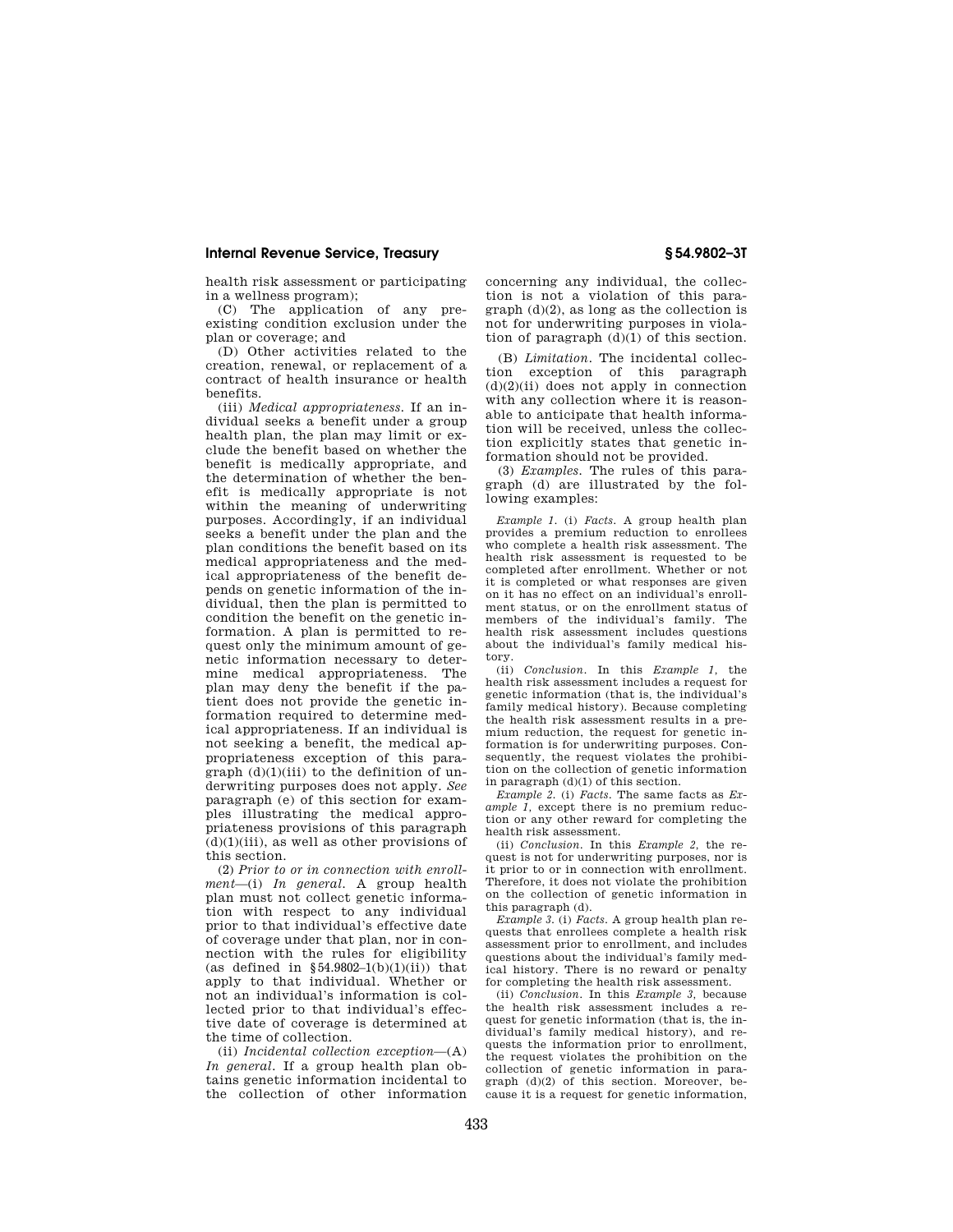health risk assessment or participating in a wellness program);

(C) The application of any preexisting condition exclusion under the plan or coverage; and

(D) Other activities related to the creation, renewal, or replacement of a contract of health insurance or health benefits.

(iii) *Medical appropriateness.* If an individual seeks a benefit under a group health plan, the plan may limit or exclude the benefit based on whether the benefit is medically appropriate, and the determination of whether the benefit is medically appropriate is not within the meaning of underwriting purposes. Accordingly, if an individual seeks a benefit under the plan and the plan conditions the benefit based on its medical appropriateness and the medical appropriateness of the benefit depends on genetic information of the individual, then the plan is permitted to condition the benefit on the genetic information. A plan is permitted to request only the minimum amount of genetic information necessary to determine medical appropriateness. The plan may deny the benefit if the patient does not provide the genetic information required to determine medical appropriateness. If an individual is not seeking a benefit, the medical appropriateness exception of this paragraph  $(d)(1)(iii)$  to the definition of underwriting purposes does not apply. *See*  paragraph (e) of this section for examples illustrating the medical appropriateness provisions of this paragraph  $(d)(1)(iii)$ , as well as other provisions of this section.

(2) *Prior to or in connection with enrollment*—(i) *In general.* A group health plan must not collect genetic information with respect to any individual prior to that individual's effective date of coverage under that plan, nor in connection with the rules for eligibility (as defined in  $$54.9802-1(b)(1)(ii))$  that apply to that individual. Whether or not an individual's information is collected prior to that individual's effective date of coverage is determined at the time of collection.

(ii) *Incidental collection exception*—(A) *In general.* If a group health plan obtains genetic information incidental to the collection of other information concerning any individual, the collection is not a violation of this paragraph (d)(2), as long as the collection is not for underwriting purposes in violation of paragraph  $(d)(1)$  of this section.

(B) *Limitation.* The incidental collection exception of this paragraph  $(d)(2)(ii)$  does not apply in connection with any collection where it is reasonable to anticipate that health information will be received, unless the collection explicitly states that genetic information should not be provided.

(3) *Examples.* The rules of this paragraph (d) are illustrated by the following examples:

*Example 1.* (i) *Facts.* A group health plan provides a premium reduction to enrollees who complete a health risk assessment. The health risk assessment is requested to be completed after enrollment. Whether or not it is completed or what responses are given on it has no effect on an individual's enrollment status, or on the enrollment status of members of the individual's family. The health risk assessment includes questions about the individual's family medical history.

(ii) *Conclusion.* In this *Example 1,* the health risk assessment includes a request for genetic information (that is, the individual's family medical history). Because completing the health risk assessment results in a premium reduction, the request for genetic information is for underwriting purposes. Consequently, the request violates the prohibition on the collection of genetic information in paragraph (d)(1) of this section.

*Example 2.* (i) *Facts.* The same facts as *Example 1,* except there is no premium reduction or any other reward for completing the health risk assessment.

(ii) *Conclusion.* In this *Example 2,* the request is not for underwriting purposes, nor is it prior to or in connection with enrollment. Therefore, it does not violate the prohibition on the collection of genetic information in this paragraph (d).

*Example 3.* (i) *Facts.* A group health plan requests that enrollees complete a health risk assessment prior to enrollment, and includes questions about the individual's family medical history. There is no reward or penalty for completing the health risk assessment.

(ii) *Conclusion.* In this *Example 3,* because the health risk assessment includes a request for genetic information (that is, the individual's family medical history), and requests the information prior to enrollment, the request violates the prohibition on the collection of genetic information in paragraph (d)(2) of this section. Moreover, because it is a request for genetic information,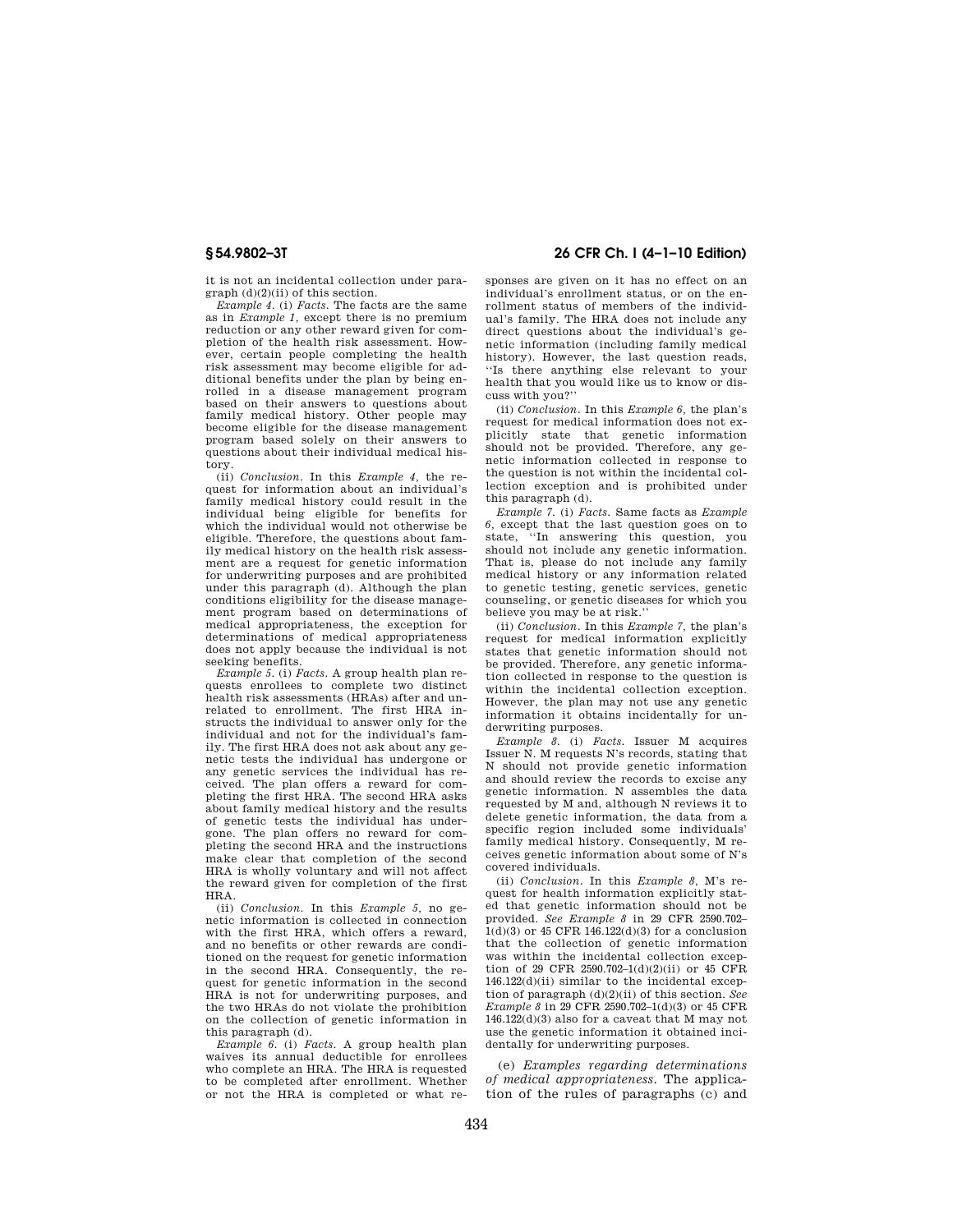it is not an incidental collection under paragraph (d)(2)(ii) of this section.

*Example 4.* (i) *Facts.* The facts are the same as in *Example 1,* except there is no premium reduction or any other reward given for completion of the health risk assessment. However, certain people completing the health risk assessment may become eligible for additional benefits under the plan by being enrolled in a disease management program based on their answers to questions about family medical history. Other people may become eligible for the disease management program based solely on their answers to questions about their individual medical history.

(ii) *Conclusion.* In this *Example 4,* the request for information about an individual's family medical history could result in the individual being eligible for benefits for which the individual would not otherwise be eligible. Therefore, the questions about family medical history on the health risk assessment are a request for genetic information for underwriting purposes and are prohibited under this paragraph (d). Although the plan conditions eligibility for the disease management program based on determinations of medical appropriateness, the exception for determinations of medical appropriateness does not apply because the individual is not seeking benefits.

*Example 5.* (i) *Facts.* A group health plan requests enrollees to complete two distinct health risk assessments (HRAs) after and unrelated to enrollment. The first HRA instructs the individual to answer only for the individual and not for the individual's family. The first HRA does not ask about any genetic tests the individual has undergone or any genetic services the individual has received. The plan offers a reward for completing the first HRA. The second HRA asks about family medical history and the results of genetic tests the individual has undergone. The plan offers no reward for completing the second HRA and the instructions make clear that completion of the second HRA is wholly voluntary and will not affect the reward given for completion of the first HRA.

(ii) *Conclusion.* In this *Example 5,* no genetic information is collected in connection with the first HRA, which offers a reward, and no benefits or other rewards are conditioned on the request for genetic information in the second HRA. Consequently, the request for genetic information in the second HRA is not for underwriting purposes, and the two HRAs do not violate the prohibition on the collection of genetic information in this paragraph (d).

*Example 6.* (i) *Facts.* A group health plan waives its annual deductible for enrollees who complete an HRA. The HRA is requested to be completed after enrollment. Whether or not the HRA is completed or what re-

# **§ 54.9802–3T 26 CFR Ch. I (4–1–10 Edition)**

sponses are given on it has no effect on an individual's enrollment status, or on the enrollment status of members of the individual's family. The HRA does not include any direct questions about the individual's genetic information (including family medical history). However, the last question reads, ''Is there anything else relevant to your health that you would like us to know or discuss with you?''

(ii) *Conclusion.* In this *Example 6,* the plan's request for medical information does not explicitly state that genetic information should not be provided. Therefore, any genetic information collected in response to the question is not within the incidental collection exception and is prohibited under this paragraph (d).

*Example 7.* (i) *Facts.* Same facts as *Example 6,* except that the last question goes on to state, ''In answering this question, you should not include any genetic information. That is, please do not include any family medical history or any information related to genetic testing, genetic services, genetic counseling, or genetic diseases for which you believe you may be at risk.''

(ii) *Conclusion.* In this *Example 7,* the plan's request for medical information explicitly states that genetic information should not be provided. Therefore, any genetic information collected in response to the question is within the incidental collection exception. However, the plan may not use any genetic information it obtains incidentally for underwriting purposes.

*Example 8.* (i) *Facts.* Issuer M acquires Issuer N. M requests N's records, stating that N should not provide genetic information and should review the records to excise any genetic information. N assembles the data requested by M and, although N reviews it to delete genetic information, the data from a specific region included some individuals' family medical history. Consequently, M receives genetic information about some of N's covered individuals.

(ii) *Conclusion.* In this *Example 8,* M's request for health information explicitly stated that genetic information should not be provided. *See Example 8* in 29 CFR 2590.702– 1(d)(3) or 45 CFR 146.122(d)(3) for a conclusion that the collection of genetic information was within the incidental collection exception of 29 CFR 2590.702–1(d)(2)(ii) or 45 CFR 146.122(d)(ii) similar to the incidental exception of paragraph (d)(2)(ii) of this section. *See Example 8* in 29 CFR 2590.702–1(d)(3) or 45 CFR 146.122(d)(3) also for a caveat that M may not use the genetic information it obtained incidentally for underwriting purposes.

(e) *Examples regarding determinations of medical appropriateness.* The application of the rules of paragraphs (c) and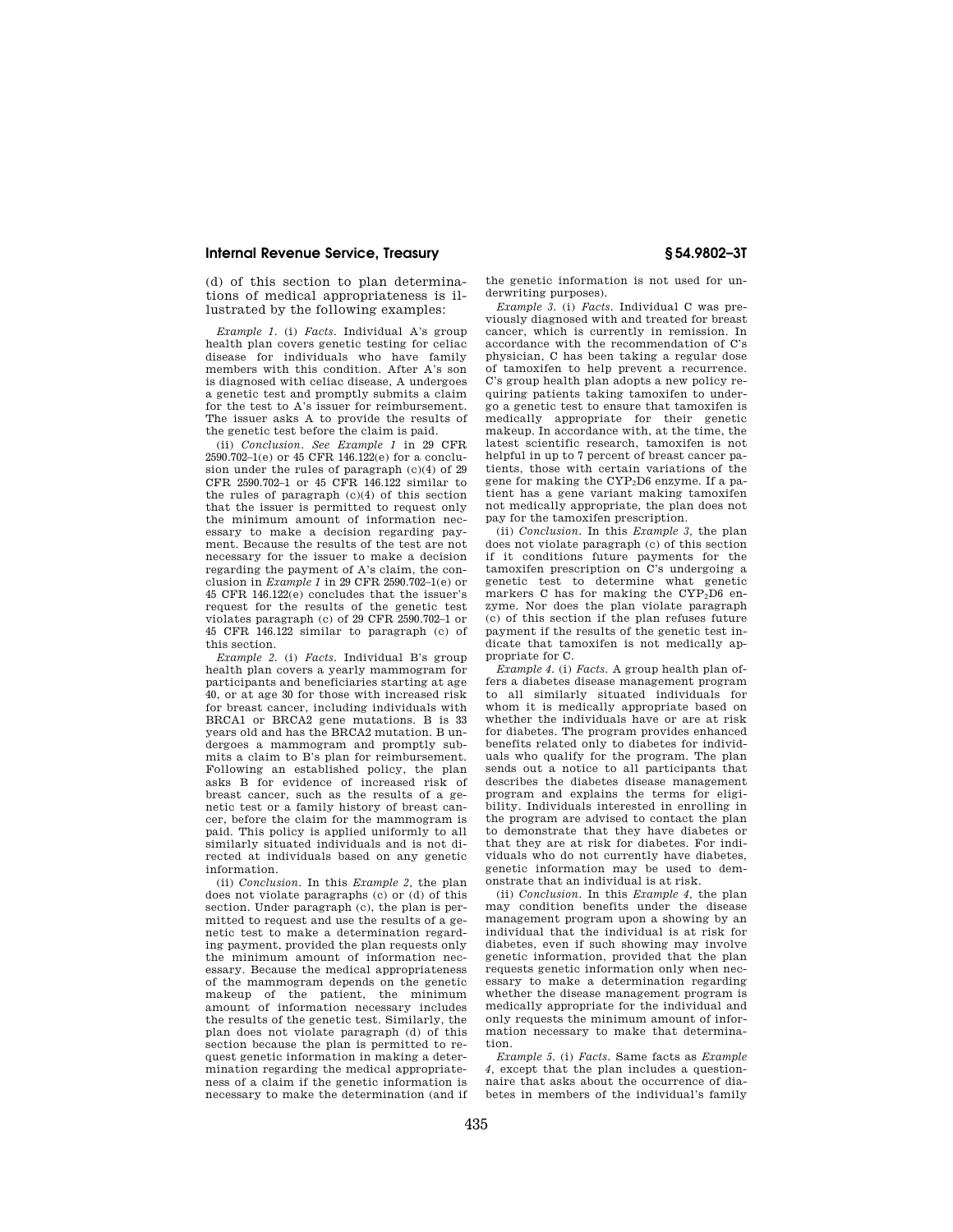(d) of this section to plan determinations of medical appropriateness is illustrated by the following examples:

*Example 1.* (i) *Facts.* Individual A's group health plan covers genetic testing for celiac disease for individuals who have family members with this condition. After A's son is diagnosed with celiac disease, A undergoes a genetic test and promptly submits a claim for the test to A's issuer for reimbursement. The issuer asks A to provide the results of the genetic test before the claim is paid.

(ii) *Conclusion. See Example 1* in 29 CFR 2590.702–1(e) or 45 CFR 146.122(e) for a conclusion under the rules of paragraph (c)(4) of 29 CFR 2590.702–1 or 45 CFR 146.122 similar to the rules of paragraph (c)(4) of this section that the issuer is permitted to request only the minimum amount of information necessary to make a decision regarding payment. Because the results of the test are not necessary for the issuer to make a decision regarding the payment of A's claim, the conclusion in *Example 1* in 29 CFR 2590.702–1(e) or 45 CFR 146.122(e) concludes that the issuer's request for the results of the genetic test violates paragraph (c) of 29 CFR 2590.702–1 or 45 CFR 146.122 similar to paragraph (c) of this section.

*Example 2.* (i) *Facts.* Individual B's group health plan covers a yearly mammogram for participants and beneficiaries starting at age 40, or at age 30 for those with increased risk for breast cancer, including individuals with BRCA1 or BRCA2 gene mutations. B is 33 years old and has the BRCA2 mutation. B undergoes a mammogram and promptly submits a claim to B's plan for reimbursement. Following an established policy, the plan asks B for evidence of increased risk of breast cancer, such as the results of a genetic test or a family history of breast cancer, before the claim for the mammogram is paid. This policy is applied uniformly to all similarly situated individuals and is not directed at individuals based on any genetic information.

(ii) *Conclusion.* In this *Example 2,* the plan does not violate paragraphs (c) or (d) of this section. Under paragraph (c), the plan is permitted to request and use the results of a genetic test to make a determination regarding payment, provided the plan requests only the minimum amount of information necessary. Because the medical appropriateness of the mammogram depends on the genetic makeup of the patient, the minimum amount of information necessary includes the results of the genetic test. Similarly, the plan does not violate paragraph (d) of this section because the plan is permitted to request genetic information in making a determination regarding the medical appropriateness of a claim if the genetic information is necessary to make the determination (and if

the genetic information is not used for underwriting purposes).

*Example 3.* (i) *Facts.* Individual C was previously diagnosed with and treated for breast cancer, which is currently in remission. In accordance with the recommendation of C's physician, C has been taking a regular dose of tamoxifen to help prevent a recurrence. C's group health plan adopts a new policy requiring patients taking tamoxifen to undergo a genetic test to ensure that tamoxifen is medically appropriate for their genetic makeup. In accordance with, at the time, the latest scientific research, tamoxifen is not helpful in up to 7 percent of breast cancer patients, those with certain variations of the gene for making the CYP2D6 enzyme. If a patient has a gene variant making tamoxifen not medically appropriate, the plan does not pay for the tamoxifen prescription.

(ii) *Conclusion.* In this *Example 3,* the plan does not violate paragraph (c) of this section if it conditions future payments for the tamoxifen prescription on C's undergoing a genetic test to determine what genetic markers C has for making the  $CYP_2\overline{D6}$  enzyme. Nor does the plan violate paragraph (c) of this section if the plan refuses future payment if the results of the genetic test indicate that tamoxifen is not medically appropriate for C.

*Example 4.* (i) *Facts.* A group health plan offers a diabetes disease management program to all similarly situated individuals for whom it is medically appropriate based on whether the individuals have or are at risk for diabetes. The program provides enhanced benefits related only to diabetes for individuals who qualify for the program. The plan sends out a notice to all participants that describes the diabetes disease management program and explains the terms for eligibility. Individuals interested in enrolling in the program are advised to contact the plan to demonstrate that they have diabetes or that they are at risk for diabetes. For individuals who do not currently have diabetes, genetic information may be used to demonstrate that an individual is at risk.

(ii) *Conclusion.* In this *Example 4,* the plan may condition benefits under the disease management program upon a showing by an individual that the individual is at risk for diabetes, even if such showing may involve genetic information, provided that the plan requests genetic information only when necessary to make a determination regarding whether the disease management program is medically appropriate for the individual and only requests the minimum amount of information necessary to make that determination.

*Example 5.* (i) *Facts.* Same facts as *Example 4,* except that the plan includes a questionnaire that asks about the occurrence of diabetes in members of the individual's family